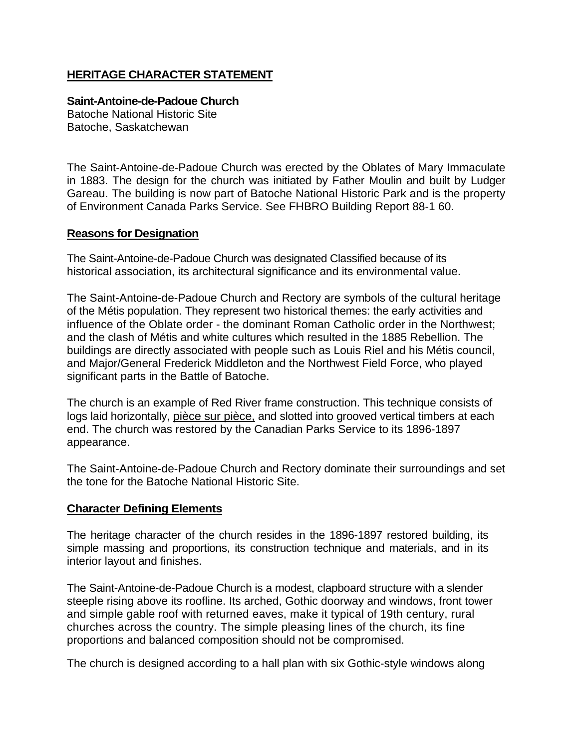## **HERITAGE CHARACTER STATEMENT**

## **Saint-Antoine-de-Padoue Church**

Batoche National Historic Site Batoche, Saskatchewan

The Saint-Antoine-de-Padoue Church was erected by the Oblates of Mary Immaculate in 1883. The design for the church was initiated by Father Moulin and built by Ludger Gareau. The building is now part of Batoche National Historic Park and is the property of Environment Canada Parks Service. See FHBRO Building Report 88-1 60.

## **Reasons for Designation**

The Saint-Antoine-de-Padoue Church was designated Classified because of its historical association, its architectural significance and its environmental value.

The Saint-Antoine-de-Padoue Church and Rectory are symbols of the cultural heritage of the Métis population. They represent two historical themes: the early activities and influence of the Oblate order - the dominant Roman Catholic order in the Northwest; and the clash of Métis and white cultures which resulted in the 1885 Rebellion. The buildings are directly associated with people such as Louis Riel and his Métis council, and Major/General Frederick Middleton and the Northwest Field Force, who played significant parts in the Battle of Batoche.

The church is an example of Red River frame construction. This technique consists of logs laid horizontally, pièce sur pièce, and slotted into grooved vertical timbers at each end. The church was restored by the Canadian Parks Service to its 1896-1897 appearance.

The Saint-Antoine-de-Padoue Church and Rectory dominate their surroundings and set the tone for the Batoche National Historic Site.

## **Character Defining Elements**

The heritage character of the church resides in the 1896-1897 restored building, its simple massing and proportions, its construction technique and materials, and in its interior layout and finishes.

The Saint-Antoine-de-Padoue Church is a modest, clapboard structure with a slender steeple rising above its roofline. Its arched, Gothic doorway and windows, front tower and simple gable roof with returned eaves, make it typical of 19th century, rural churches across the country. The simple pleasing lines of the church, its fine proportions and balanced composition should not be compromised.

The church is designed according to a hall plan with six Gothic-style windows along